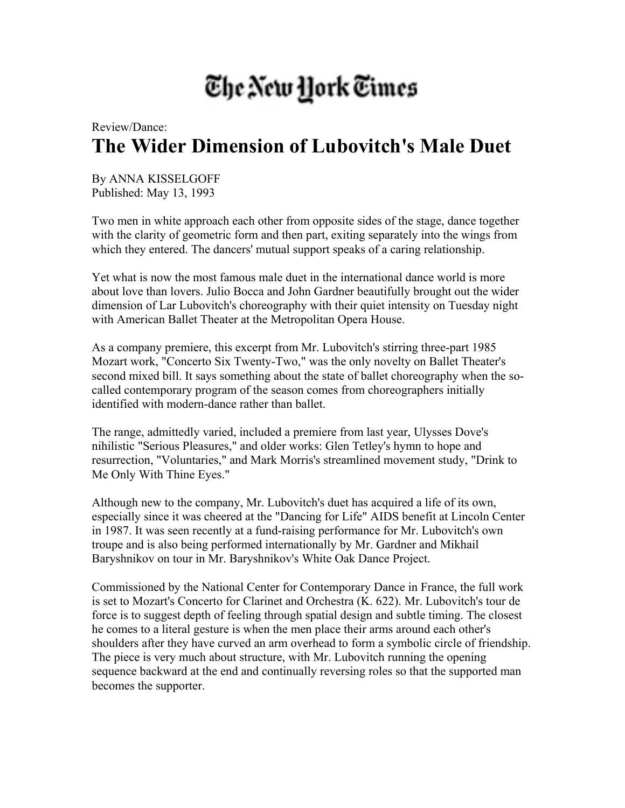## The New York Times

## Review/Dance: **The Wider Dimension of Lubovitch's Male Duet**

By ANNA KISSELGOFF Published: May 13, 1993

Two men in white approach each other from opposite sides of the stage, dance together with the clarity of geometric form and then part, exiting separately into the wings from which they entered. The dancers' mutual support speaks of a caring relationship.

Yet what is now the most famous male duet in the international dance world is more about love than lovers. Julio Bocca and John Gardner beautifully brought out the wider dimension of Lar Lubovitch's choreography with their quiet intensity on Tuesday night with American Ballet Theater at the Metropolitan Opera House.

As a company premiere, this excerpt from Mr. Lubovitch's stirring three-part 1985 Mozart work, "Concerto Six Twenty-Two," was the only novelty on Ballet Theater's second mixed bill. It says something about the state of ballet choreography when the socalled contemporary program of the season comes from choreographers initially identified with modern-dance rather than ballet.

The range, admittedly varied, included a premiere from last year, Ulysses Dove's nihilistic "Serious Pleasures," and older works: Glen Tetley's hymn to hope and resurrection, "Voluntaries," and Mark Morris's streamlined movement study, "Drink to Me Only With Thine Eyes."

Although new to the company, Mr. Lubovitch's duet has acquired a life of its own, especially since it was cheered at the "Dancing for Life" AIDS benefit at Lincoln Center in 1987. It was seen recently at a fund-raising performance for Mr. Lubovitch's own troupe and is also being performed internationally by Mr. Gardner and Mikhail Baryshnikov on tour in Mr. Baryshnikov's White Oak Dance Project.

Commissioned by the National Center for Contemporary Dance in France, the full work is set to Mozart's Concerto for Clarinet and Orchestra (K. 622). Mr. Lubovitch's tour de force is to suggest depth of feeling through spatial design and subtle timing. The closest he comes to a literal gesture is when the men place their arms around each other's shoulders after they have curved an arm overhead to form a symbolic circle of friendship. The piece is very much about structure, with Mr. Lubovitch running the opening sequence backward at the end and continually reversing roles so that the supported man becomes the supporter.